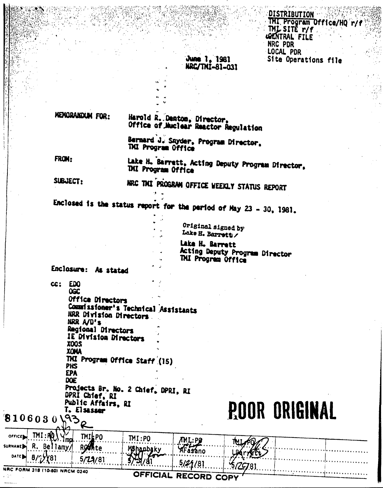**DISTRIBUTION** IMI Program Office/HQ r/f THE SITE TYP NRC PDR LOCAL PDR Site Operations file

## June 1, 1981 NRC/TNI-81-031

MEMORANDUM FOR:

Harold R. Denton, Director, Office of Nuclear Reactor Regulation

Bernard J. Snyder, Program Director, TXI Program Office

FROM:

Lake H. Barrett, Acting Deputy Program Director, **THI Program Office** 

SUBJECT:

NRC THI PROGRAM OFFICE WEEKLY STATUS REPORT

Enclosed is the status report for the period of May 23 - 30, 1981.

Original signed by Lake H. Barretty

Lake H. Barrett Acting Deputy Program Director TMI Program Office

Enclosure: As stated

cc: EDO OGC Office Directors Commissioner's Technical Assistants NRR Division Directors NRR A/D's Regional Directors IE Division Directors **200X XOMA** THI Program Office Staff (15) **PHS EPA DOE** Projects Br. No. 2 Chief, DPRI, RI

DPRI Chief, RI Public Affairs, RI T. Elsassor 8106030 538

**POOR ORIGINAL** 

| $\overrightarrow{O}$ FFICE $\overrightarrow{P}$ $\overrightarrow{M}$ $\overrightarrow{M}$ $\overrightarrow{M}$<br><b>TMILPO</b><br>surname R. Bellamy/ Rothte | IMI:PO<br>$M_1$ : Pg<br>Mahaphaky<br>AFasano  | <b>The formation and provide</b><br>. |
|---------------------------------------------------------------------------------------------------------------------------------------------------------------|-----------------------------------------------|---------------------------------------|
| $0$ ATE $9/2$ (81 5/24/81                                                                                                                                     | $\frac{1}{2}$<br>$\dots$ . 5/21/81<br>15/2981 |                                       |
| NRC FORM 318 (10-80) NRCM 0240<br>ようとう                                                                                                                        | OFFICIAL RECORD COPY '                        |                                       |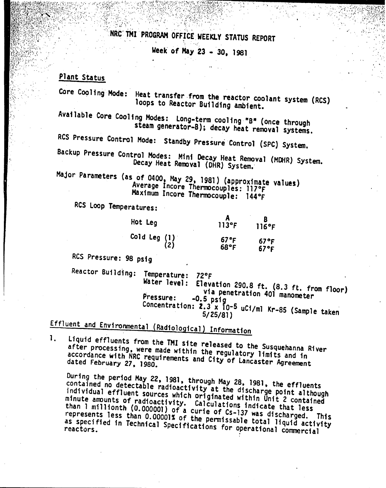NRC' TMI PROGRAM OFFICE WEEKLY STATUS REPORT

 $\mathcal{N} \subset \mathbb{R}^n$ 

Week' of May 23 • 30. 1981

*,;tJ1~1i',~~i(~~~;i::,~~vl~~ii~;"": '.'.. ', '.'*

 $\cdot$  ,

*'........•.:t:~'~;@~IE~*

 $\mathcal{H} \subset \mathbb{R}^n \to \mathbb{R}^n$ 

## Plant Status

Core COOling Mode: Heat transfer ,from the reactor coolant system (ReS) loops to Reactor Building ambient.

Available Core Cooling Modes: Long-term cooling "B" (once through steam generator-B); decay heat removal systems.

RCS Pressure Control MOde: Standby Pressure Control (SPC) System.

Backup Pressure Control Modes: Mini Decay Heat Removal (MOHR) System. Decay Heat Removal (DHR) System.

wijor rarameters (as of 0400, May 29, 1981) (approximate values).<br>Average Incore Thermocouples: 11795 Average Incore Thermocouples: 117°F Maximum Incore Thermocouple: 1440F

RCS loop Temperatures:

| Hot Leg               | $113$ °F     | 116°F        |
|-----------------------|--------------|--------------|
| Cold Leg $(1)$<br>(2) | 67°F<br>68°F | 67°F<br>67°F |

RCS Pressure: 98 psig

Reactor Building: Temperature: 72°F<br>Water level: Eleva

Elevation 290.8 ft. (8.3 ft. from floor) via penetration 401 manometer Pressure: -0.5 psig Concentration: Z.3 x 10-5 uCi/ml Kr-8S (Sample taken 5/25/81 )

Effluent and Environmental (Radiological) Information

1. Liquid effluents from the TMI site released to the Susquehanna River after processing. were made within the regulatory limits and in accordance with NRC requirements and City of Lancaster Agreement dated February 27. 1980.

During the period May 22, 1981, through May 28, 1981, the effluents contained no detectable radioactivity at the discharge point although individual effluent SOurces which originated within Unit 2 contained minute amounts of radioactivity. Calculations indicate that loss than 1 millionth (0.000001) of a Curie of Cs-137 was discharged. This represents less than 0.00001% of the permissable total liquid activity as specified in Technical Specifications for operational commercial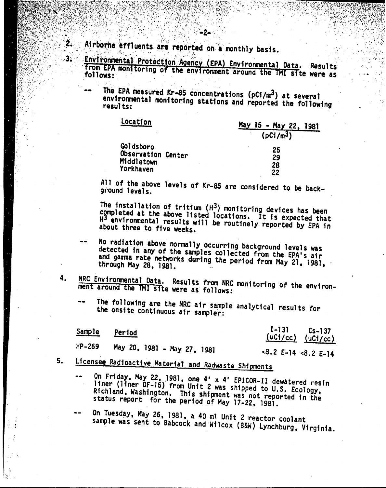Airborne effluents are reported on a monthly basis.

-.

 $2.$ 

 $\overline{\mathbf{3}}$ .

. i

Environmental Protection Agency (EPA) Environmental Data. Results<br>from EPA monitoring of the environment around the TMI site were as

The EPA measured Kr-85 concentrations ( $pCi/m^3$ ) at several environmental monitoring stations and reported the following<br>results: results:

| LOCATION                | May 15 - May 22, 1981 |
|-------------------------|-----------------------|
|                         | (pC1/m <sup>3</sup> ) |
| Goldsboro               | 25                    |
| Observation Center      | 29                    |
| Middletown<br>Yorkhaven | 28                    |
|                         | 22                    |

All of the above levels of Kr-85 are considered to be back-<br>ground levels.

The installation of tritium  $(H^3)$  monitoring devices has been completed at the above listed locations. It is expected that H3 environmental results will be routinely reported by EPA in about three to five weeks.

- No radiation above normally occurring background levels was detected in any of the samples collected from the EPA's air and gamma rate networks during the period from May 21, 1981,
- 4. NRC Environmental Data. Results from NRC monitoring of the environment around the TMI site were as follows:
	- The following are the NRC air sample analytical results *for* the onsite continuous air sampler:

|        | Sample Period               | $\frac{I-131}{(uCi/cc)}$ $\frac{(c-137)}{(uCi/cc)}$ |
|--------|-----------------------------|-----------------------------------------------------|
| HP-269 | May 20, 1981 - May 27, 1981 | $<8.2$ E-14 $<8.2$ E-14                             |

5. Licensee Radioactive Material and Radwaste Shipments

On Friday. May 22.1981. one 4' x 4' EPICOR-II dewatered resin liner (liner OF-15) from Unit 2 was shipped to U.S. Ecology, Richland. WaShington. This shipment was not reported in the status report for the period of May 17-22, 1981.

On Tuesday, May 26, 1981, a 40 ml Unit 2 reactor coolant sample was sent to Babcock and Wilcox (B&W) Lynchburg, Virginia.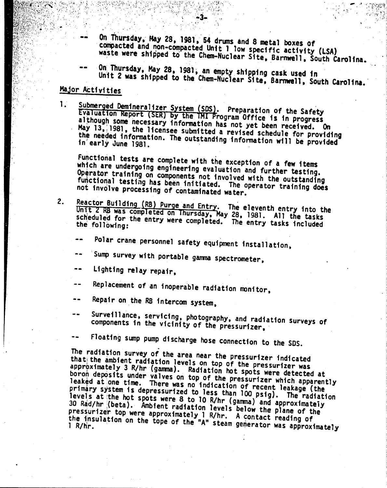On Thursday, May 28, 1981, 54 drums and 8 metal boxes of compacted and non-compacted Unit 1 low specific activity (LSA) waste were shipped to the Chem-Nuclear Site, Barnwell, South Carolina.

. : '.~'

On Thursday, May 28, 1981, an empty shipping cask used in Unit 2 was shipped to the Chem-Nuclear Site, Barnwell, South Carolina.

## Major Activities

-.

 $\leq$ 

" .. ,' .

*,.S*

 $\mathbf{1}$ . Submerged Demineralizer System (SDS). Preparation of the Safety Evaluation Report (SER) by the TMI Program Office is in progress although some necessary information has not yet been received. On<br>May 13, 1981, the licenses submitted a mout yet been received. On May 13, 1981, the licensee submitted a revised schedule for providing<br>the needed information. The outstanding information the needed information. the needed information. The outstanding information will be providing<br>in early June 1981. in early June 1981.

Functional tests are complete with the exception of a few items which are undergoing engineering evaluation and further testing. Operator training on components not involved with the outstanding functional testing has been initiated. The operator training does not involve processing of contaminated water.

- Reactor Building (RB) Purge and Entry. The eleventh entry into the 2. Unit 2 RB was completed on Thursday, May 28, 1981. All the tasks<br>scheduled for the entry were completed. The entry tasks scheduled for the entry were completed. The entry tasks included<br>the following:
	- Polar crane personnel safety equipment installation,
	- Sump survey with portable gamma spectrometer,
	- Lighting relay repair,
	- Replacement of an inoperable radiation monitor,  $- -$
	- Repair on.the RB intercom system,
	- Surveillance, servicing, photography, and radiation surveys of components in the vicinity of the pressurizer,
	- -- Floating sump pump discharge hose connection to the SDS.<br>The madiation summer of the

The radiation survey of the area near the pressurizer fndicated that the ambient radiation levels on top of the pressurizer was approximately 3 R/hr (gamma). Radfation hot spots were detected at boron deposits under valves on top of the pressurizer which apparently leaked at one time. There was no indication of recent leakage (the primary system is depressurized to less than 100 psfg). The radiation levels at the hot spots were 8 to 10 R/hr (gamma) and approximately 30 Rad/hr;(beta). M1bfent radfation levels below the plane of the pressurizer top were approximately 1 R/hr. A contact reading of the insulation on the tope of the "A" steam generator was approximately